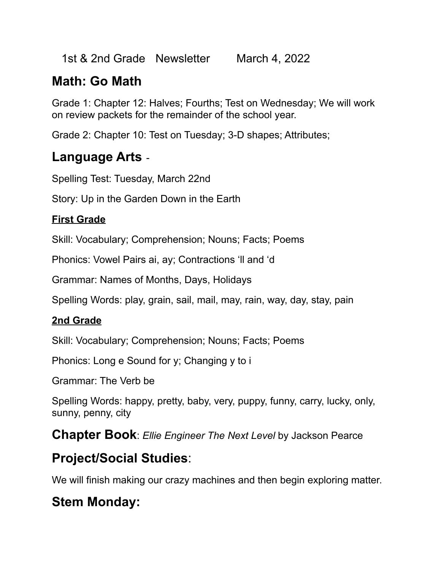1st & 2nd Grade Newsletter March 4, 2022

# **Math: Go Math**

Grade 1: Chapter 12: Halves; Fourths; Test on Wednesday; We will work on review packets for the remainder of the school year.

Grade 2: Chapter 10: Test on Tuesday; 3-D shapes; Attributes;

## **Language Arts** -

Spelling Test: Tuesday, March 22nd

Story: Up in the Garden Down in the Earth

#### **First Grade**

Skill: Vocabulary; Comprehension; Nouns; Facts; Poems

Phonics: Vowel Pairs ai, ay; Contractions 'll and 'd

Grammar: Names of Months, Days, Holidays

Spelling Words: play, grain, sail, mail, may, rain, way, day, stay, pain

### **2nd Grade**

Skill: Vocabulary; Comprehension; Nouns; Facts; Poems

Phonics: Long e Sound for y; Changing y to i

Grammar: The Verb be

Spelling Words: happy, pretty, baby, very, puppy, funny, carry, lucky, only, sunny, penny, city

**Chapter Book**: *Ellie Engineer The Next Level* by Jackson Pearce

## **Project/Social Studies**:

We will finish making our crazy machines and then begin exploring matter.

# **Stem Monday:**